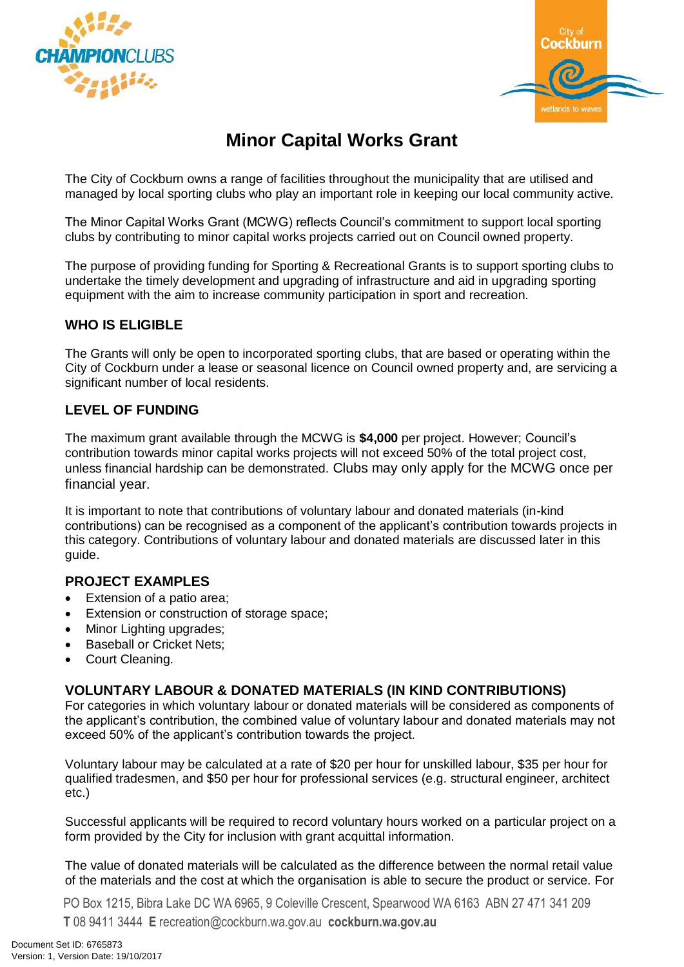



# **Minor Capital Works Grant**

The City of Cockburn owns a range of facilities throughout the municipality that are utilised and managed by local sporting clubs who play an important role in keeping our local community active.

The Minor Capital Works Grant (MCWG) reflects Council's commitment to support local sporting clubs by contributing to minor capital works projects carried out on Council owned property.

The purpose of providing funding for Sporting & Recreational Grants is to support sporting clubs to undertake the timely development and upgrading of infrastructure and aid in upgrading sporting equipment with the aim to increase community participation in sport and recreation.

# **WHO IS ELIGIBLE**

The Grants will only be open to incorporated sporting clubs, that are based or operating within the City of Cockburn under a lease or seasonal licence on Council owned property and, are servicing a significant number of local residents.

# **LEVEL OF FUNDING**

The maximum grant available through the MCWG is **\$4,000** per project. However; Council's contribution towards minor capital works projects will not exceed 50% of the total project cost, unless financial hardship can be demonstrated. Clubs may only apply for the MCWG once per financial year.

It is important to note that contributions of voluntary labour and donated materials (in-kind contributions) can be recognised as a component of the applicant's contribution towards projects in this category. Contributions of voluntary labour and donated materials are discussed later in this quide.

## **PROJECT EXAMPLES**

- Extension of a patio area;
- **Extension or construction of storage space;**
- Minor Lighting upgrades;
- Baseball or Cricket Nets;
- Court Cleaning.

# **VOLUNTARY LABOUR & DONATED MATERIALS (IN KIND CONTRIBUTIONS)**

For categories in which voluntary labour or donated materials will be considered as components of the applicant's contribution, the combined value of voluntary labour and donated materials may not exceed 50% of the applicant's contribution towards the project.

Voluntary labour may be calculated at a rate of \$20 per hour for unskilled labour, \$35 per hour for qualified tradesmen, and \$50 per hour for professional services (e.g. structural engineer, architect etc.)

Successful applicants will be required to record voluntary hours worked on a particular project on a form provided by the City for inclusion with grant acquittal information.

The value of donated materials will be calculated as the difference between the normal retail value of the materials and the cost at which the organisation is able to secure the product or service. For

PO Box 1215, Bibra Lake DC WA 6965, 9 Coleville Crescent, Spearwood WA 6163 ABN 27 471 341 209 **T** 08 9411 3444 **E** recreation@cockburn.wa.gov.au **cockburn.wa.gov.au**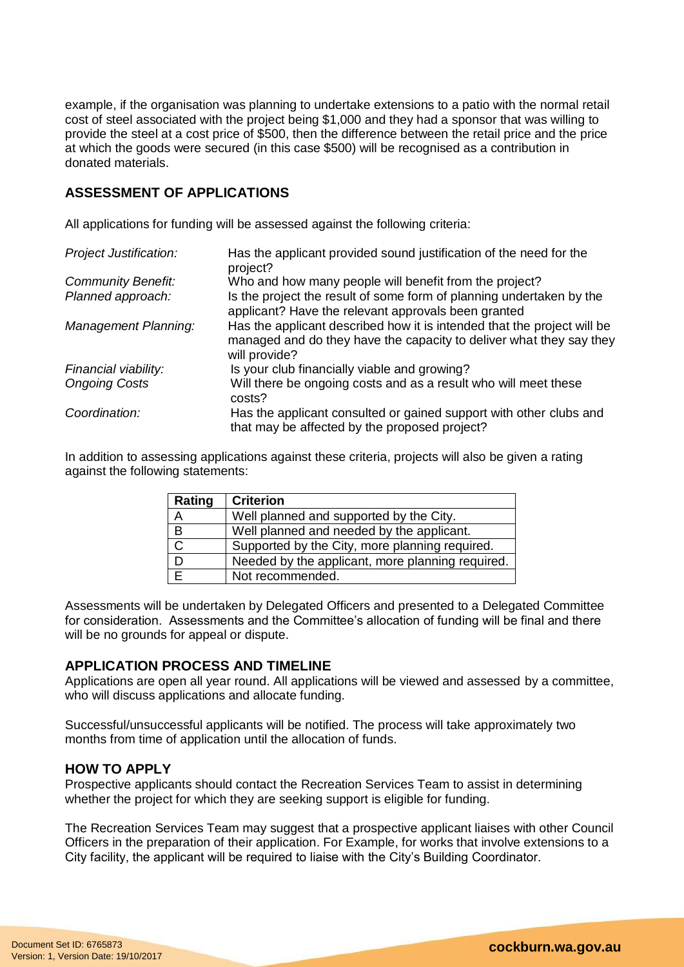example, if the organisation was planning to undertake extensions to a patio with the normal retail cost of steel associated with the project being \$1,000 and they had a sponsor that was willing to provide the steel at a cost price of \$500, then the difference between the retail price and the price at which the goods were secured (in this case \$500) will be recognised as a contribution in donated materials.

# **ASSESSMENT OF APPLICATIONS**

All applications for funding will be assessed against the following criteria:

| <b>Project Justification:</b> | Has the applicant provided sound justification of the need for the<br>project?                                                                                  |
|-------------------------------|-----------------------------------------------------------------------------------------------------------------------------------------------------------------|
| <b>Community Benefit:</b>     | Who and how many people will benefit from the project?                                                                                                          |
| Planned approach:             | Is the project the result of some form of planning undertaken by the<br>applicant? Have the relevant approvals been granted                                     |
| <b>Management Planning:</b>   | Has the applicant described how it is intended that the project will be<br>managed and do they have the capacity to deliver what they say they<br>will provide? |
| Financial viability:          | Is your club financially viable and growing?                                                                                                                    |
| <b>Ongoing Costs</b>          | Will there be ongoing costs and as a result who will meet these<br>costs?                                                                                       |
| Coordination:                 | Has the applicant consulted or gained support with other clubs and<br>that may be affected by the proposed project?                                             |

In addition to assessing applications against these criteria, projects will also be given a rating against the following statements:

| Rating       | <b>Criterion</b>                                 |
|--------------|--------------------------------------------------|
| A            | Well planned and supported by the City.          |
| B            | Well planned and needed by the applicant.        |
| $\mathsf{C}$ | Supported by the City, more planning required.   |
|              | Needed by the applicant, more planning required. |
|              | Not recommended.                                 |

Assessments will be undertaken by Delegated Officers and presented to a Delegated Committee for consideration. Assessments and the Committee's allocation of funding will be final and there will be no grounds for appeal or dispute.

## **APPLICATION PROCESS AND TIMELINE**

Applications are open all year round. All applications will be viewed and assessed by a committee, who will discuss applications and allocate funding.

Successful/unsuccessful applicants will be notified. The process will take approximately two months from time of application until the allocation of funds.

#### **HOW TO APPLY**

Prospective applicants should contact the Recreation Services Team to assist in determining whether the project for which they are seeking support is eligible for funding.

The Recreation Services Team may suggest that a prospective applicant liaises with other Council Officers in the preparation of their application. For Example, for works that involve extensions to a City facility, the applicant will be required to liaise with the City's Building Coordinator.